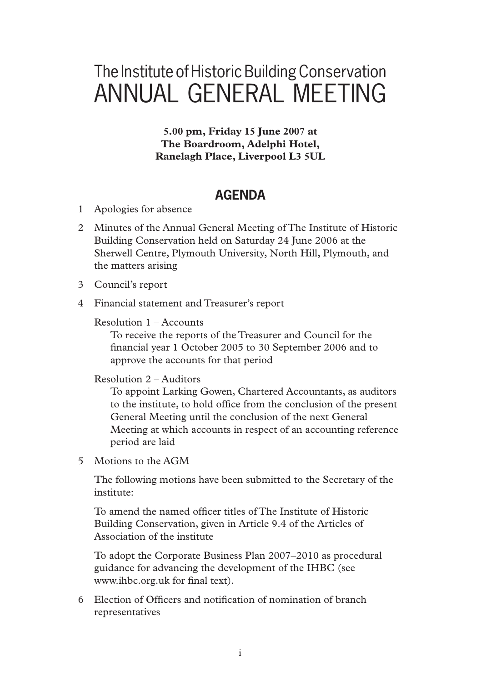# The Institute of Historic Building Conservation ANNUAL GENERAL MEETING

**5.00 pm, Friday 15 June 2007 at The Boardroom, Adelphi Hotel, Ranelagh Place, Liverpool L3 5UL**

# **AGENDA**

- 1 Apologies for absence
- 2 Minutes of the Annual General Meeting of The Institute of Historic Building Conservation held on Saturday 24 June 2006 at the Sherwell Centre, Plymouth University, North Hill, Plymouth, and the matters arising
- 3 Council's report
- 4 Financial statement and Treasurer's report

### Resolution 1 – Accounts

 To receive the reports of the Treasurer and Council for the financial year 1 October 2005 to 30 September 2006 and to approve the accounts for that period

### Resolution 2 – Auditors

 To appoint Larking Gowen, Chartered Accountants, as auditors to the institute, to hold office from the conclusion of the present General Meeting until the conclusion of the next General Meeting at which accounts in respect of an accounting reference period are laid

5 Motions to the AGM

The following motions have been submitted to the Secretary of the institute:

To amend the named officer titles of The Institute of Historic Building Conservation, given in Article 9.4 of the Articles of Association of the institute

 To adopt the Corporate Business Plan 2007–2010 as procedural guidance for advancing the development of the IHBC (see www.ihbc.org.uk for final text).

6 Election of Officers and notification of nomination of branch representatives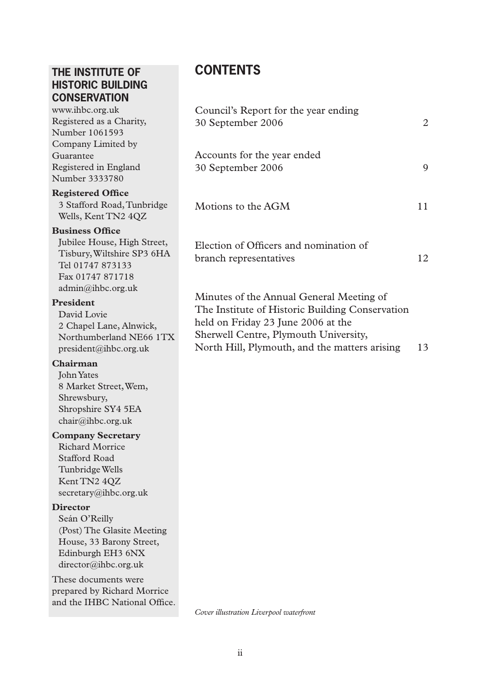# **THE INSTITUTE OF HISTORIC BUILDING CONSERVATION**

www.ihbc.org.uk Registered as a Charity, Number 1061593 Company Limited by Guarantee Registered in England Number 3333780

#### **Registered Office**

3 Stafford Road,Tunbridge Wells, Kent TN2 4QZ

#### **Business Office**

Jubilee House, High Street, Tisbury,Wiltshire SP3 6HA Tel 01747 873133 Fax 01747 871718 admin@ihbc.org.uk

#### **President**

David Lovie 2 Chapel Lane, Alnwick, Northumberland NE66 1TX president@ihbc.org.uk

#### **Chairman**

JohnYates 8 Market Street,Wem, Shrewsbury, Shropshire SY4 5EA chair@ihbc.org.uk

#### **Company Secretary**

Richard Morrice Stafford Road TunbridgeWells Kent TN2 4QZ secretary@ihbc.org.uk

#### **Director**

Seán O'Reilly (Post) The Glasite Meeting House, 33 Barony Street, Edinburgh EH3 6NX director@ihbc.org.uk

These documents were prepared by Richard Morrice and the IHBC National Office.

# **CONTENTS**

| Council's Report for the year ending<br>30 September 2006                                                                                                                                                                   | 2  |
|-----------------------------------------------------------------------------------------------------------------------------------------------------------------------------------------------------------------------------|----|
| Accounts for the year ended<br>30 September 2006                                                                                                                                                                            | 9  |
| Motions to the AGM                                                                                                                                                                                                          | 11 |
| Election of Officers and nomination of<br>branch representatives                                                                                                                                                            | 12 |
| Minutes of the Annual General Meeting of<br>The Institute of Historic Building Conservation<br>held on Friday 23 June 2006 at the<br>Sherwell Centre, Plymouth University,<br>North Hill, Plymouth, and the matters arising | 13 |
|                                                                                                                                                                                                                             |    |

*Cover illustration Liverpool waterfront*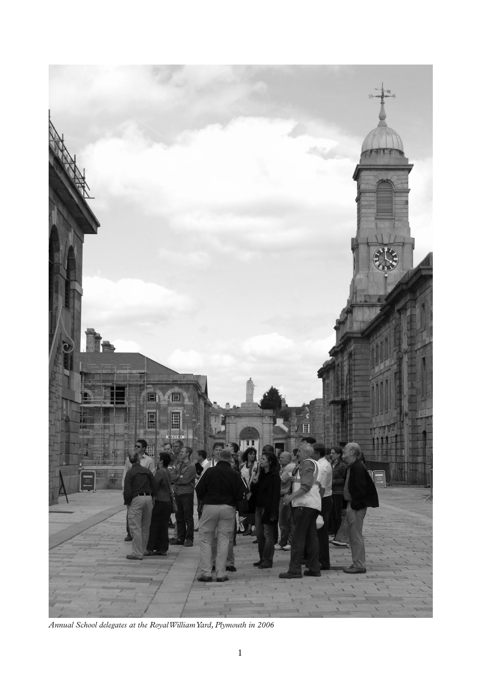

*Annual School delegates at the Royal William Yard, Plymouth in 2006*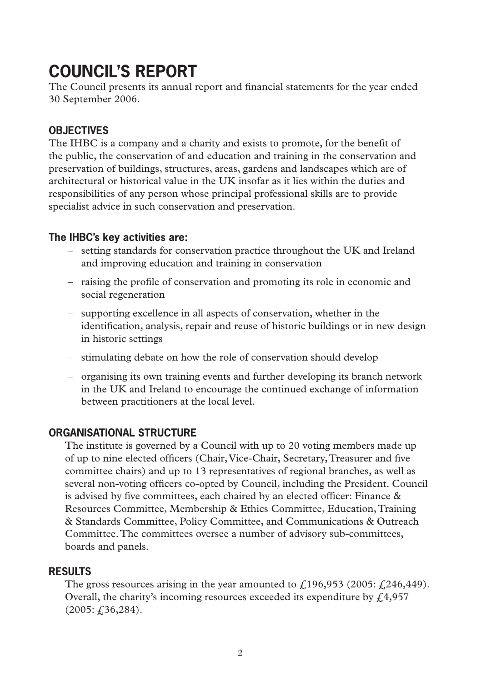# **COUNCIL'S REPORT**

The Council presents its annual report and financial statements for the year ended 30 September 2006.

# **OBJECTIVES**

The IHBC is a company and a charity and exists to promote, for the benefit of the public, the conservation of and education and training in the conservation and preservation of buildings, structures, areas, gardens and landscapes which are of architectural or historical value in the UK insofar as it lies within the duties and responsibilities of any person whose principal professional skills are to provide specialist advice in such conservation and preservation.

# **The IHBC's key activities are:**

- setting standards for conservation practice throughout the UK and Ireland and improving education and training in conservation
- raising the profile of conservation and promoting its role in economic and social regeneration
- – supporting excellence in all aspects of conservation, whether in the identification, analysis, repair and reuse of historic buildings or in new design in historic settings
- stimulating debate on how the role of conservation should develop
- $-$  organising its own training events and further developing its branch network in the UK and Ireland to encourage the continued exchange of information between practitioners at the local level.

## **ORGANISATIONAL STRUCTURE**

The institute is governed by a Council with up to 20 voting members made up of up to nine elected officers (Chair,Vice-Chair, Secretary,Treasurer and five committee chairs) and up to 13 representatives of regional branches, as well as several non-voting officers co-opted by Council, including the President. Council is advised by five committees, each chaired by an elected officer: Finance & Resources Committee, Membership & Ethics Committee, Education,Training & Standards Committee, Policy Committee, and Communications & Outreach Committee.The committees oversee a number of advisory sub-committees, boards and panels.

## **RESULTS**

The gross resources arising in the year amounted to  $\ell$ 196,953 (2005:  $\ell$ 246,449). Overall, the charity's incoming resources exceeded its expenditure by  $f(4,957)$  $(2005; f, 36, 284).$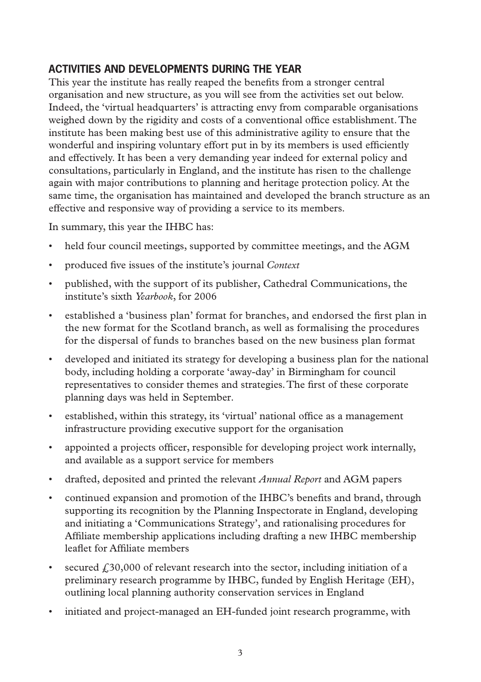# **ACTIVITIES AND DEVELOPMENTS DURING THE YEAR**

This year the institute has really reaped the benefits from a stronger central organisation and new structure, as you will see from the activities set out below. Indeed, the 'virtual headquarters' is attracting envy from comparable organisations weighed down by the rigidity and costs of a conventional office establishment.The institute has been making best use of this administrative agility to ensure that the wonderful and inspiring voluntary effort put in by its members is used efficiently and effectively. It has been a very demanding year indeed for external policy and consultations, particularly in England, and the institute has risen to the challenge again with major contributions to planning and heritage protection policy. At the same time, the organisation has maintained and developed the branch structure as an effective and responsive way of providing a service to its members.

In summary, this year the IHBC has:

- held four council meetings, supported by committee meetings, and the AGM
- • produced five issues of the institute's journal *Context*
- published, with the support of its publisher, Cathedral Communications, the institute's sixth *Yearbook*, for 2006
- • established a 'business plan' format for branches, and endorsed the first plan in the new format for the Scotland branch, as well as formalising the procedures for the dispersal of funds to branches based on the new business plan format
- • developed and initiated its strategy for developing a business plan for the national body, including holding a corporate 'away-day' in Birmingham for council representatives to consider themes and strategies.The first of these corporate planning days was held in September.
- established, within this strategy, its 'virtual' national office as a management infrastructure providing executive support for the organisation
- • appointed a projects officer, responsible for developing project work internally, and available as a support service for members
- • drafted, deposited and printed the relevant *Annual Report* and AGM papers
- continued expansion and promotion of the IHBC's benefits and brand, through supporting its recognition by the Planning Inspectorate in England, developing and initiating a 'Communications Strategy', and rationalising procedures for Affiliate membership applications including drafting a new IHBC membership leaflet for Affiliate members
- secured  $\ell$  30,000 of relevant research into the sector, including initiation of a preliminary research programme by IHBC, funded by English Heritage (EH), outlining local planning authority conservation services in England
- initiated and project-managed an EH-funded joint research programme, with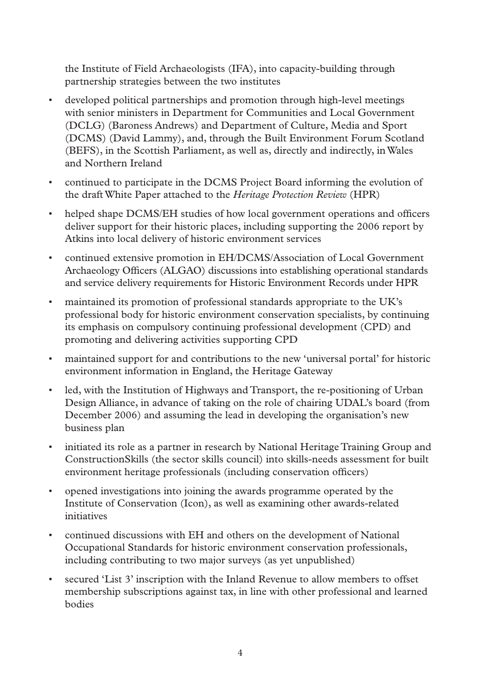the Institute of Field Archaeologists (IFA), into capacity-building through partnership strategies between the two institutes

- developed political partnerships and promotion through high-level meetings with senior ministers in Department for Communities and Local Government (DCLG) (Baroness Andrews) and Department of Culture, Media and Sport (DCMS) (David Lammy), and, through the Built Environment Forum Scotland (BEFS), in the Scottish Parliament, as well as, directly and indirectly, inWales and Northern Ireland
- continued to participate in the DCMS Project Board informing the evolution of the draftWhite Paper attached to the *Heritage Protection Review* (HPR)
- helped shape DCMS/EH studies of how local government operations and officers deliver support for their historic places, including supporting the 2006 report by Atkins into local delivery of historic environment services
- • continued extensive promotion in EH/DCMS/Association of Local Government Archaeology Officers (ALGAO) discussions into establishing operational standards and service delivery requirements for Historic Environment Records under HPR
- • maintained its promotion of professional standards appropriate to the UK's professional body for historic environment conservation specialists, by continuing its emphasis on compulsory continuing professional development (CPD) and promoting and delivering activities supporting CPD
- maintained support for and contributions to the new 'universal portal' for historic environment information in England, the Heritage Gateway
- • led, with the Institution of Highways and Transport, the re-positioning of Urban Design Alliance, in advance of taking on the role of chairing UDAL's board (from December 2006) and assuming the lead in developing the organisation's new business plan
- initiated its role as a partner in research by National Heritage Training Group and ConstructionSkills (the sector skills council) into skills-needs assessment for built environment heritage professionals (including conservation officers)
- • opened investigations into joining the awards programme operated by the Institute of Conservation (Icon), as well as examining other awards-related initiatives
- continued discussions with EH and others on the development of National Occupational Standards for historic environment conservation professionals, including contributing to two major surveys (as yet unpublished)
- • secured 'List 3' inscription with the Inland Revenue to allow members to offset membership subscriptions against tax, in line with other professional and learned bodies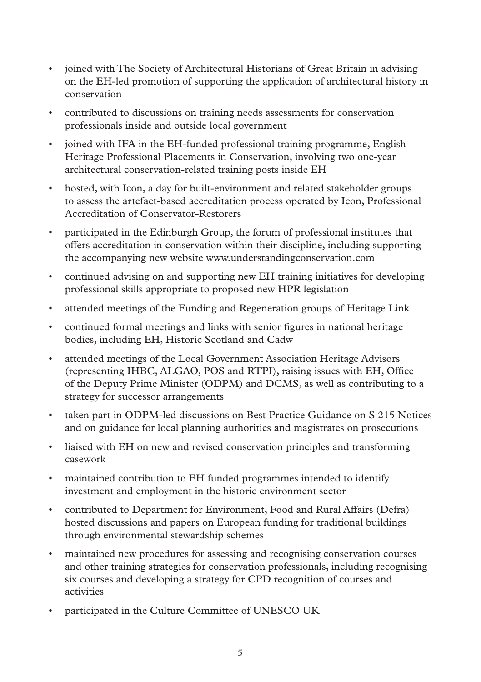- • joined with The Society of Architectural Historians of Great Britain in advising on the EH-led promotion of supporting the application of architectural history in conservation
- • contributed to discussions on training needs assessments for conservation professionals inside and outside local government
- • joined with IFA in the EH-funded professional training programme, English Heritage Professional Placements in Conservation, involving two one-year architectural conservation-related training posts inside EH
- hosted, with Icon, a day for built-environment and related stakeholder groups to assess the artefact-based accreditation process operated by Icon, Professional Accreditation of Conservator-Restorers
- • participated in the Edinburgh Group, the forum of professional institutes that offers accreditation in conservation within their discipline, including supporting the accompanying new website www.understandingconservation.com
- • continued advising on and supporting new EH training initiatives for developing professional skills appropriate to proposed new HPR legislation
- • attended meetings of the Funding and Regeneration groups of Heritage Link
- continued formal meetings and links with senior figures in national heritage bodies, including EH, Historic Scotland and Cadw
- • attended meetings of the Local Government Association Heritage Advisors (representing IHBC, ALGAO, POS and RTPI), raising issues with EH, Office of the Deputy Prime Minister (ODPM) and DCMS, as well as contributing to a strategy for successor arrangements
- • taken part in ODPM-led discussions on Best Practice Guidance on S 215 Notices and on guidance for local planning authorities and magistrates on prosecutions
- liaised with EH on new and revised conservation principles and transforming casework
- • maintained contribution to EH funded programmes intended to identify investment and employment in the historic environment sector
- contributed to Department for Environment, Food and Rural Affairs (Defra) hosted discussions and papers on European funding for traditional buildings through environmental stewardship schemes
- • maintained new procedures for assessing and recognising conservation courses and other training strategies for conservation professionals, including recognising six courses and developing a strategy for CPD recognition of courses and activities
- • participated in the Culture Committee of UNESCO UK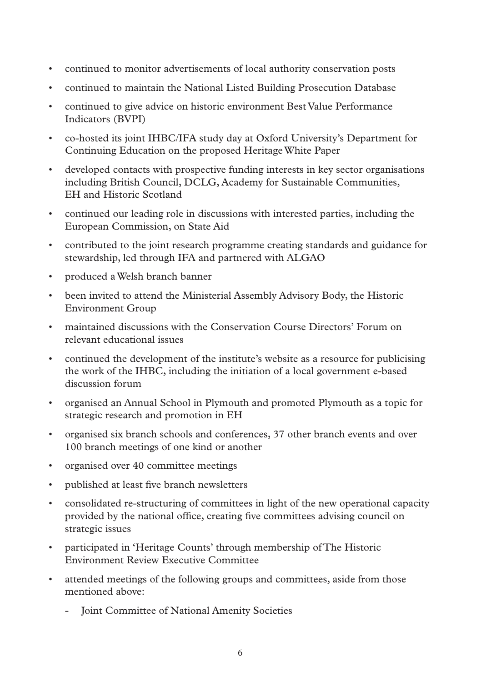- • continued to monitor advertisements of local authority conservation posts
- • continued to maintain the National Listed Building Prosecution Database
- continued to give advice on historic environment Best Value Performance Indicators (BVPI)
- • co-hosted its joint IHBC/IFA study day at Oxford University's Department for Continuing Education on the proposed HeritageWhite Paper
- • developed contacts with prospective funding interests in key sector organisations including British Council, DCLG, Academy for Sustainable Communities, EH and Historic Scotland
- • continued our leading role in discussions with interested parties, including the European Commission, on State Aid
- • contributed to the joint research programme creating standards and guidance for stewardship, led through IFA and partnered with ALGAO
- • produced aWelsh branch banner
- been invited to attend the Ministerial Assembly Advisory Body, the Historic Environment Group
- • maintained discussions with the Conservation Course Directors' Forum on relevant educational issues
- • continued the development of the institute's website as a resource for publicising the work of the IHBC, including the initiation of a local government e-based discussion forum
- organised an Annual School in Plymouth and promoted Plymouth as a topic for strategic research and promotion in EH
- • organised six branch schools and conferences, 37 other branch events and over 100 branch meetings of one kind or another
- • organised over 40 committee meetings
- published at least five branch newsletters
- • consolidated re-structuring of committees in light of the new operational capacity provided by the national office, creating five committees advising council on strategic issues
- • participated in 'Heritage Counts' through membership of The Historic Environment Review Executive Committee
- attended meetings of the following groups and committees, aside from those mentioned above:
	- **Joint Committee of National Amenity Societies**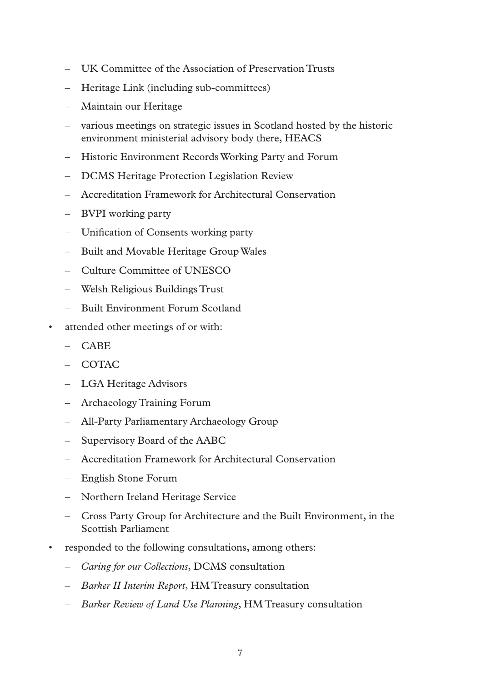- – UK Committee of the Association of Preservation Trusts
- – Heritage Link (including sub-committees)
- – Maintain our Heritage
- – various meetings on strategic issues in Scotland hosted by the historic environment ministerial advisory body there, HEACS
- – Historic Environment RecordsWorking Party and Forum
- – DCMS Heritage Protection Legislation Review
- – Accreditation Framework for Architectural Conservation
- – BVPI working party
- – Unification of Consents working party
- – Built and Movable Heritage GroupWales
- – Culture Committee of UNESCO
- – Welsh Religious Buildings Trust
- – Built Environment Forum Scotland
- attended other meetings of or with:
	- $-$  CABE
	- $-$  COTAC
	- – LGA Heritage Advisors
	- – Archaeology Training Forum
	- – All-Party Parliamentary Archaeology Group
	- – Supervisory Board of the AABC
	- – Accreditation Framework for Architectural Conservation
	- – English Stone Forum
	- – Northern Ireland Heritage Service
	- – Cross Party Group for Architecture and the Built Environment, in the Scottish Parliament
- responded to the following consultations, among others:
	- – *Caring for our Collections*, DCMS consultation
	- – *Barker II Interim Report*, HMTreasury consultation
	- – *Barker Review of Land Use Planning*, HMTreasury consultation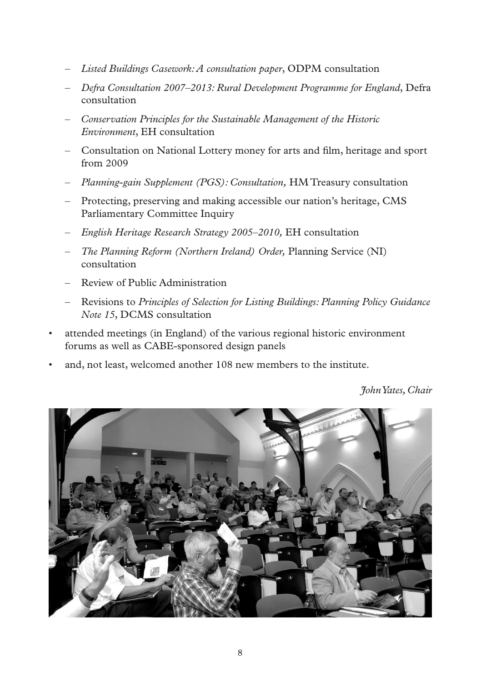- – *Listed Buildings Casework: A consultation paper*, ODPM consultation
- – *Defra Consultation 2007–2013: Rural Development Programme for England*, Defra consultation
- – *Conservation Principles for the Sustainable Management of the Historic Environment*, EH consultation
- – Consultation on National Lottery money for arts and film, heritage and sport from 2009
- – *Planning-gain Supplement (PGS): Consultation,* HMTreasury consultation
- Protecting, preserving and making accessible our nation's heritage, CMS Parliamentary Committee Inquiry
- – *English Heritage Research Strategy 2005–2010,* EH consultation
- – *The Planning Reform (Northern Ireland) Order,* Planning Service (NI) consultation
- – Review of Public Administration
- – Revisions to *Principles of Selection for Listing Buildings: Planning Policy Guidance Note 15*, DCMS consultation
- attended meetings (in England) of the various regional historic environment forums as well as CABE-sponsored design panels
- and, not least, welcomed another 108 new members to the institute.

*John Yates, Chair*

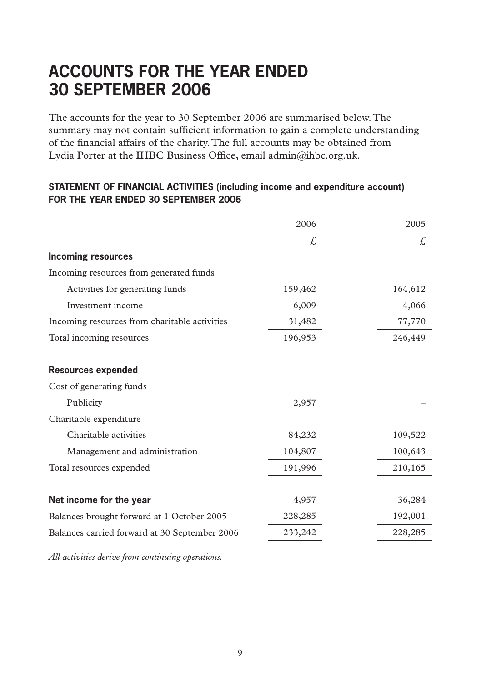# **ACCOUNTS for the year ended 30 september 2006**

The accounts for the year to 30 September 2006 are summarised below.The summary may not contain sufficient information to gain a complete understanding of the financial affairs of the charity.The full accounts may be obtained from Lydia Porter at the IHBC Business Office, email admin@ihbc.org.uk.

#### **STATEMENT OF FINANCIAL ACTIVITIES (including income and expenditure account) FOR THE YEAR ENDED 30 SEPTEMBER 2006**

|                                               | 2006    | 2005    |
|-----------------------------------------------|---------|---------|
|                                               | £.      | £.      |
| <b>Incoming resources</b>                     |         |         |
| Incoming resources from generated funds       |         |         |
| Activities for generating funds               | 159,462 | 164,612 |
| Investment income                             | 6,009   | 4,066   |
| Incoming resources from charitable activities | 31,482  | 77,770  |
| Total incoming resources                      | 196,953 | 246,449 |
|                                               |         |         |
| <b>Resources expended</b>                     |         |         |
| Cost of generating funds                      |         |         |
| Publicity                                     | 2,957   |         |
| Charitable expenditure                        |         |         |
| Charitable activities                         | 84,232  | 109,522 |
| Management and administration                 | 104,807 | 100,643 |
| Total resources expended                      | 191,996 | 210,165 |
|                                               |         |         |
| Net income for the year                       | 4,957   | 36,284  |
| Balances brought forward at 1 October 2005    | 228,285 | 192,001 |
| Balances carried forward at 30 September 2006 | 233,242 | 228,285 |

*All activities derive from continuing operations.*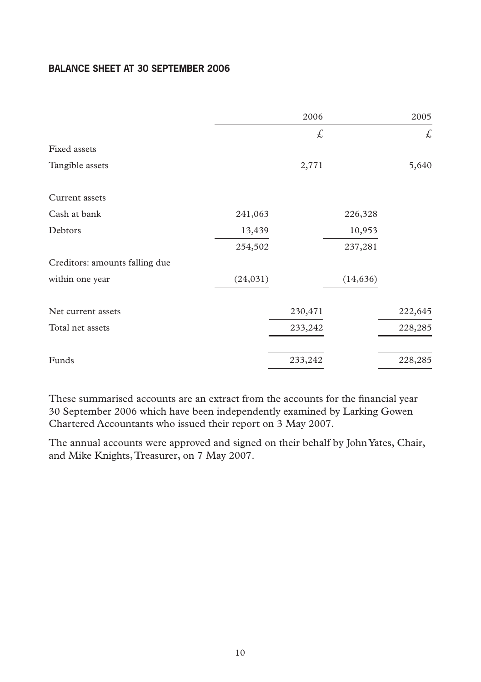## **BALANCE SHEET AT 30 SEPTEMBER 2006**

|                                |           | 2006    |           | 2005    |
|--------------------------------|-----------|---------|-----------|---------|
|                                |           | £       |           | £       |
| Fixed assets                   |           |         |           |         |
| Tangible assets                |           | 2,771   |           | 5,640   |
| Current assets                 |           |         |           |         |
| Cash at bank                   | 241,063   |         | 226,328   |         |
| Debtors                        | 13,439    |         | 10,953    |         |
|                                | 254,502   |         | 237,281   |         |
| Creditors: amounts falling due |           |         |           |         |
| within one year                | (24, 031) |         | (14, 636) |         |
| Net current assets             |           | 230,471 |           | 222,645 |
| Total net assets               |           | 233,242 |           | 228,285 |
| Funds                          |           | 233,242 |           | 228,285 |

These summarised accounts are an extract from the accounts for the financial year 30 September 2006 which have been independently examined by Larking Gowen Chartered Accountants who issued their report on 3 May 2007.

The annual accounts were approved and signed on their behalf by JohnYates, Chair, and Mike Knights,Treasurer, on 7 May 2007.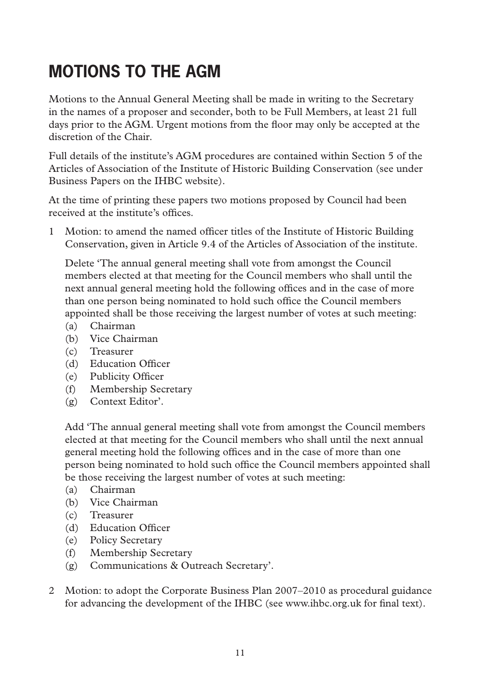# **MOTIONS TO THE AGM**

Motions to the Annual General Meeting shall be made in writing to the Secretary in the names of a proposer and seconder, both to be Full Members, at least 21 full days prior to the AGM. Urgent motions from the floor may only be accepted at the discretion of the Chair.

Full details of the institute's AGM procedures are contained within Section 5 of the Articles of Association of the Institute of Historic Building Conservation (see under Business Papers on the IHBC website).

At the time of printing these papers two motions proposed by Council had been received at the institute's offices.

1 Motion: to amend the named officer titles of the Institute of Historic Building Conservation, given in Article 9.4 of the Articles of Association of the institute.

 Delete 'The annual general meeting shall vote from amongst the Council members elected at that meeting for the Council members who shall until the next annual general meeting hold the following offices and in the case of more than one person being nominated to hold such office the Council members appointed shall be those receiving the largest number of votes at such meeting:

- (a) Chairman
- (b) Vice Chairman
- (c) Treasurer
- (d) Education Officer
- (e) Publicity Officer
- (f) Membership Secretary
- (g) Context Editor'.

 Add 'The annual general meeting shall vote from amongst the Council members elected at that meeting for the Council members who shall until the next annual general meeting hold the following offices and in the case of more than one person being nominated to hold such office the Council members appointed shall be those receiving the largest number of votes at such meeting:

- (a) Chairman
- (b) Vice Chairman
- (c) Treasurer
- (d) Education Officer
- (e) Policy Secretary
- (f) Membership Secretary
- (g) Communications & Outreach Secretary'.
- 2 Motion: to adopt the Corporate Business Plan 2007–2010 as procedural guidance for advancing the development of the IHBC (see www.ihbc.org.uk for final text).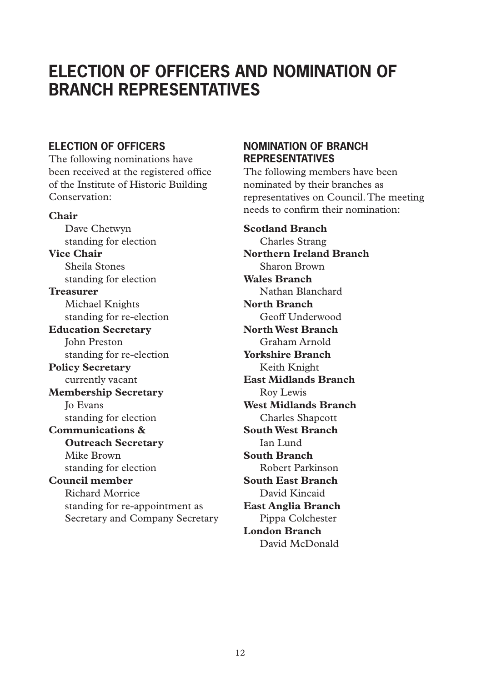# **ELECTION OF OFFICERS AND NOMINATION OF BRANCH REPRESENTATIVES**

# **ELECTION OF OFFICERS**

The following nominations have been received at the registered office of the Institute of Historic Building Conservation:

**Chair** Dave Chetwyn standing for election **Vice Chair** Sheila Stones standing for election **Treasurer** Michael Knights standing for re-election **Education Secretary** John Preston

standing for re-election

**Policy Secretary** currently vacant

**Membership Secretary** Jo Evans standing for election

# **Communications & Outreach Secretary** Mike Brown

standing for election **Council member**

# Richard Morrice standing for re-appointment as Secretary and Company Secretary

### **NOMINATION OF BRANCH REPRESENTATIVES**

The following members have been nominated by their branches as representatives on Council.The meeting needs to confirm their nomination:

**Scotland Branch** Charles Strang **Northern Ireland Branch**  Sharon Brown **Wales Branch**  Nathan Blanchard **North Branch**  Geoff Underwood **North West Branch**  Graham Arnold **Yorkshire Branch**  Keith Knight **East Midlands Branch**  Roy Lewis **West Midlands Branch** Charles Shapcott **South West Branch**  Ian Lund **South Branch**  Robert Parkinson **South East Branch**  David Kincaid **East Anglia Branch**  Pippa Colchester **London Branch**  David McDonald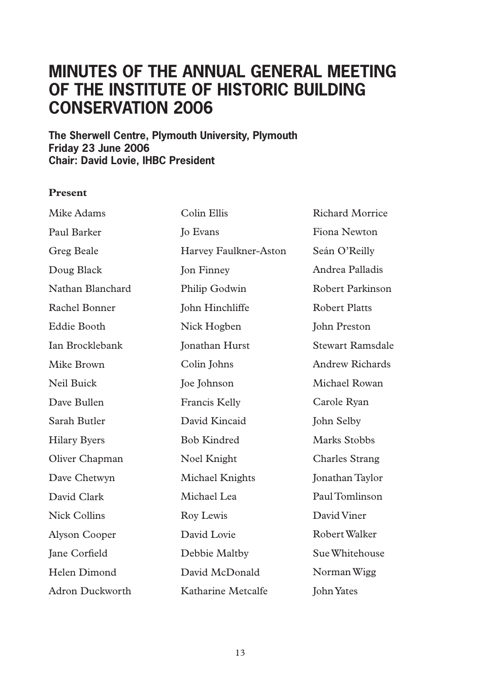# **Minutes of the Annual General Meeting of the Institute of Historic Building Conservation 2006**

**The Sherwell Centre, Plymouth University, Plymouth Friday 23 June 2006 Chair: David Lovie, IHBC President**

#### **Present**

| Mike Adams          | Colin Ellis           | <b>Richard Morrice</b> |
|---------------------|-----------------------|------------------------|
| Paul Barker         | Jo Evans              | Fiona Newton           |
| Greg Beale          | Harvey Faulkner-Aston | Seán O'Reilly          |
| Doug Black          | <b>Jon Finney</b>     | Andrea Palladis        |
| Nathan Blanchard    | Philip Godwin         | Robert Parkinson       |
| Rachel Bonner       | John Hinchliffe       | <b>Robert Platts</b>   |
| Eddie Booth         | Nick Hogben           | John Preston           |
| Ian Brocklebank     | <b>Jonathan Hurst</b> | Stewart Ramsdale       |
| Mike Brown          | Colin Johns           | Andrew Richards        |
| Neil Buick          | <b>Joe Johnson</b>    | Michael Rowan          |
| Dave Bullen         | Francis Kelly         | Carole Ryan            |
| Sarah Butler        | David Kincaid         | John Selby             |
| <b>Hilary Byers</b> | <b>Bob Kindred</b>    | Marks Stobbs           |
| Oliver Chapman      | Noel Knight           | <b>Charles Strang</b>  |
| Dave Chetwyn        | Michael Knights       | Jonathan Taylor        |
| David Clark         | Michael Lea           | Paul Tomlinson         |
| <b>Nick Collins</b> | Roy Lewis             | David Viner            |
| Alyson Cooper       | David Lovie           | Robert Walker          |
| Jane Corfield       | Debbie Maltby         | Sue Whitehouse         |
| Helen Dimond        | David McDonald        | Norman Wigg            |
| Adron Duckworth     | Katharine Metcalfe    | John Yates             |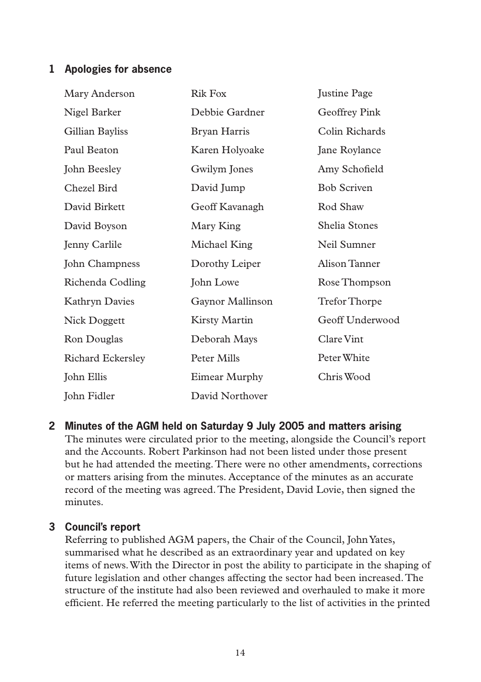## **1 Apologies for absence**

| Mary Anderson     | <b>Rik Fox</b>   | <b>Justine Page</b> |
|-------------------|------------------|---------------------|
| Nigel Barker      | Debbie Gardner   | Geoffrey Pink       |
| Gillian Bayliss   | Bryan Harris     | Colin Richards      |
| Paul Beaton       | Karen Holyoake   | Jane Roylance       |
| John Beesley      | Gwilym Jones     | Amy Schofield       |
| Chezel Bird       | David Jump       | <b>Bob Scriven</b>  |
| David Birkett     | Geoff Kavanagh   | Rod Shaw            |
| David Boyson      | Mary King        | Shelia Stones       |
| Jenny Carlile     | Michael King     | Neil Sumner         |
| John Champness    | Dorothy Leiper   | Alison Tanner       |
| Richenda Codling  | John Lowe        | Rose Thompson       |
| Kathryn Davies    | Gaynor Mallinson | Trefor Thorpe       |
| Nick Doggett      | Kirsty Martin    | Geoff Underwood     |
| Ron Douglas       | Deborah Mays     | Clare Vint          |
| Richard Eckersley | Peter Mills      | Peter White         |
| John Ellis        | Eimear Murphy    | Chris Wood          |
| John Fidler       | David Northover  |                     |

**2 Minutes of the AGM held on Saturday 9 July 2005 and matters arising** The minutes were circulated prior to the meeting, alongside the Council's report and the Accounts. Robert Parkinson had not been listed under those present but he had attended the meeting.There were no other amendments, corrections or matters arising from the minutes. Acceptance of the minutes as an accurate record of the meeting was agreed.The President, David Lovie, then signed the minutes.

### **3 Council's report**

Referring to published AGM papers, the Chair of the Council, JohnYates, summarised what he described as an extraordinary year and updated on key items of news.With the Director in post the ability to participate in the shaping of future legislation and other changes affecting the sector had been increased.The structure of the institute had also been reviewed and overhauled to make it more efficient. He referred the meeting particularly to the list of activities in the printed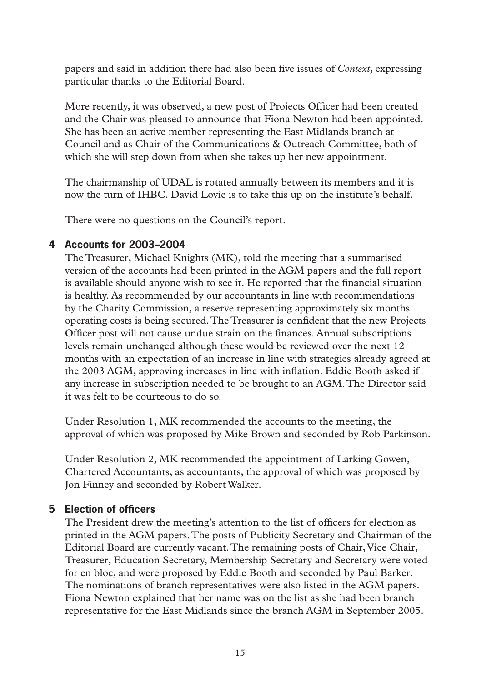papers and said in addition there had also been five issues of *Context*, expressing particular thanks to the Editorial Board.

More recently, it was observed, a new post of Projects Officer had been created and the Chair was pleased to announce that Fiona Newton had been appointed. She has been an active member representing the East Midlands branch at Council and as Chair of the Communications & Outreach Committee, both of which she will step down from when she takes up her new appointment.

The chairmanship of UDAL is rotated annually between its members and it is now the turn of IHBC. David Lovie is to take this up on the institute's behalf.

There were no questions on the Council's report.

## **4 Accounts for 2003–2004**

The Treasurer, Michael Knights (MK), told the meeting that a summarised version of the accounts had been printed in the AGM papers and the full report is available should anyone wish to see it. He reported that the financial situation is healthy. As recommended by our accountants in line with recommendations by the Charity Commission, a reserve representing approximately six months operating costs is being secured.The Treasurer is confident that the new Projects Officer post will not cause undue strain on the finances. Annual subscriptions levels remain unchanged although these would be reviewed over the next 12 months with an expectation of an increase in line with strategies already agreed at the 2003 AGM, approving increases in line with inflation. Eddie Booth asked if any increase in subscription needed to be brought to an AGM.The Director said it was felt to be courteous to do so.

Under Resolution 1, MK recommended the accounts to the meeting, the approval of which was proposed by Mike Brown and seconded by Rob Parkinson.

Under Resolution 2, MK recommended the appointment of Larking Gowen, Chartered Accountants, as accountants, the approval of which was proposed by Jon Finney and seconded by RobertWalker.

# **5 Election of officers**

The President drew the meeting's attention to the list of officers for election as printed in the AGM papers.The posts of Publicity Secretary and Chairman of the Editorial Board are currently vacant. The remaining posts of Chair, Vice Chair, Treasurer, Education Secretary, Membership Secretary and Secretary were voted for en bloc, and were proposed by Eddie Booth and seconded by Paul Barker. The nominations of branch representatives were also listed in the AGM papers. Fiona Newton explained that her name was on the list as she had been branch representative for the East Midlands since the branch AGM in September 2005.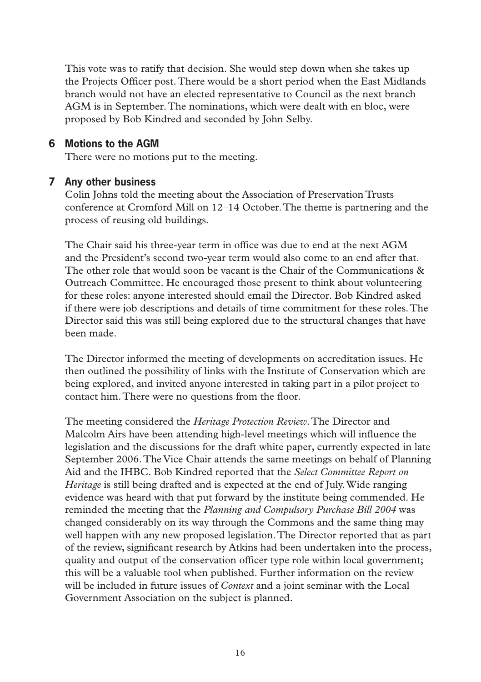This vote was to ratify that decision. She would step down when she takes up the Projects Officer post.There would be a short period when the East Midlands branch would not have an elected representative to Council as the next branch AGM is in September.The nominations, which were dealt with en bloc, were proposed by Bob Kindred and seconded by John Selby.

### **6 Motions to the AGM**

There were no motions put to the meeting.

### **7 Any other business**

Colin Johns told the meeting about the Association of Preservation Trusts conference at Cromford Mill on 12–14 October.The theme is partnering and the process of reusing old buildings.

The Chair said his three-year term in office was due to end at the next AGM and the President's second two-year term would also come to an end after that. The other role that would soon be vacant is the Chair of the Communications & Outreach Committee. He encouraged those present to think about volunteering for these roles: anyone interested should email the Director. Bob Kindred asked if there were job descriptions and details of time commitment for these roles.The Director said this was still being explored due to the structural changes that have been made.

The Director informed the meeting of developments on accreditation issues. He then outlined the possibility of links with the Institute of Conservation which are being explored, and invited anyone interested in taking part in a pilot project to contact him.There were no questions from the floor.

The meeting considered the *Heritage Protection Review*.The Director and Malcolm Airs have been attending high-level meetings which will influence the legislation and the discussions for the draft white paper, currently expected in late September 2006.The Vice Chair attends the same meetings on behalf of Planning Aid and the IHBC. Bob Kindred reported that the *Select Committee Report on Heritage* is still being drafted and is expected at the end of July.Wide ranging evidence was heard with that put forward by the institute being commended. He reminded the meeting that the *Planning and Compulsory Purchase Bill 2004* was changed considerably on its way through the Commons and the same thing may well happen with any new proposed legislation.The Director reported that as part of the review, significant research by Atkins had been undertaken into the process, quality and output of the conservation officer type role within local government; this will be a valuable tool when published. Further information on the review will be included in future issues of *Context* and a joint seminar with the Local Government Association on the subject is planned.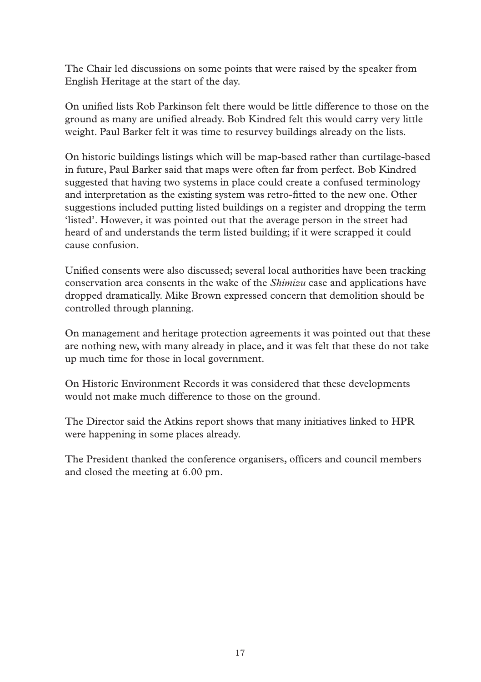The Chair led discussions on some points that were raised by the speaker from English Heritage at the start of the day.

On unified lists Rob Parkinson felt there would be little difference to those on the ground as many are unified already. Bob Kindred felt this would carry very little weight. Paul Barker felt it was time to resurvey buildings already on the lists.

On historic buildings listings which will be map-based rather than curtilage-based in future, Paul Barker said that maps were often far from perfect. Bob Kindred suggested that having two systems in place could create a confused terminology and interpretation as the existing system was retro-fitted to the new one. Other suggestions included putting listed buildings on a register and dropping the term 'listed'. However, it was pointed out that the average person in the street had heard of and understands the term listed building; if it were scrapped it could cause confusion.

Unified consents were also discussed; several local authorities have been tracking conservation area consents in the wake of the *Shimizu* case and applications have dropped dramatically. Mike Brown expressed concern that demolition should be controlled through planning.

On management and heritage protection agreements it was pointed out that these are nothing new, with many already in place, and it was felt that these do not take up much time for those in local government.

On Historic Environment Records it was considered that these developments would not make much difference to those on the ground.

The Director said the Atkins report shows that many initiatives linked to HPR were happening in some places already.

The President thanked the conference organisers, officers and council members and closed the meeting at 6.00 pm.